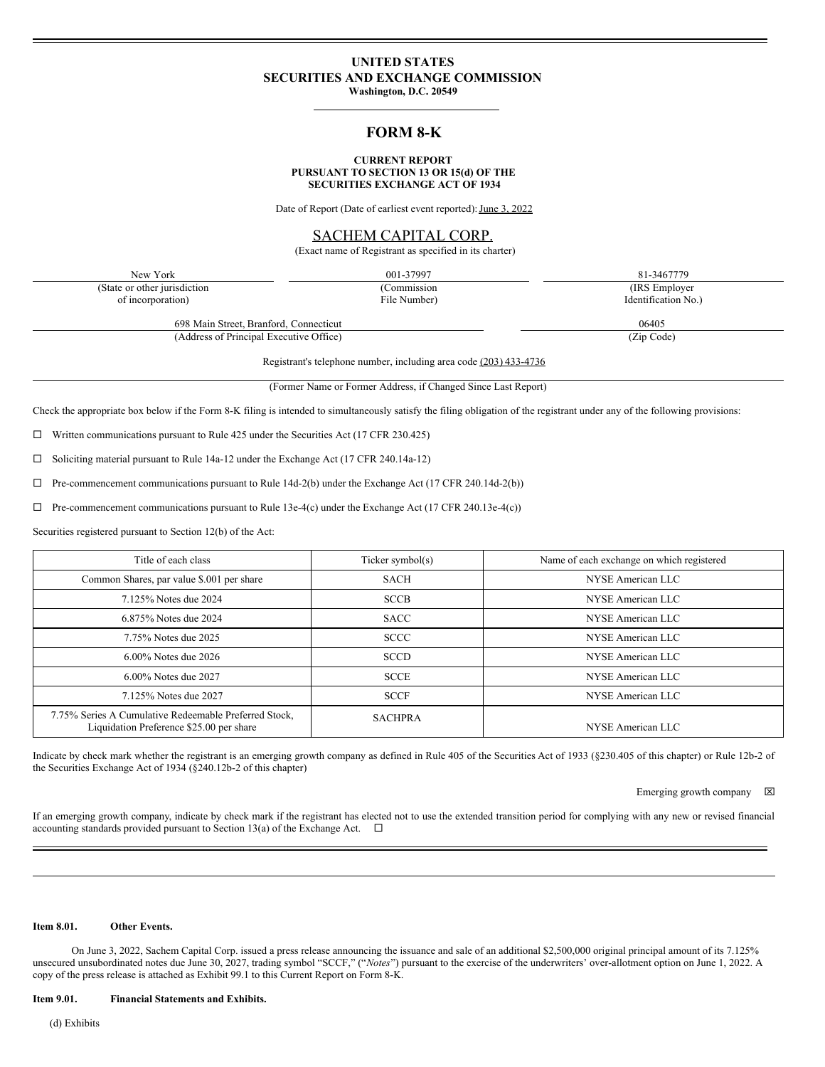# **UNITED STATES SECURITIES AND EXCHANGE COMMISSION**

**Washington, D.C. 20549**

# **FORM 8-K**

#### **CURRENT REPORT PURSUANT TO SECTION 13 OR 15(d) OF THE SECURITIES EXCHANGE ACT OF 1934**

Date of Report (Date of earliest event reported): June 3, 2022

## SACHEM CAPITAL CORP.

(Exact name of Registrant as specified in its charter)

New York 001-37997 81-3467779 (State or other jurisdiction of incorporation) (Commission File Number) (IRS Employer Identification No.)

698 Main Street, Branford, Connecticut 06405 (Address of Principal Executive Office) (Zip Code)

Registrant's telephone number, including area code (203) 433-4736

(Former Name or Former Address, if Changed Since Last Report)

Check the appropriate box below if the Form 8-K filing is intended to simultaneously satisfy the filing obligation of the registrant under any of the following provisions:

 $\Box$  Written communications pursuant to Rule 425 under the Securities Act (17 CFR 230.425)

 $\square$  Soliciting material pursuant to Rule 14a-12 under the Exchange Act (17 CFR 240.14a-12)

 $\Box$  Pre-commencement communications pursuant to Rule 14d-2(b) under the Exchange Act (17 CFR 240.14d-2(b))

 $\Box$  Pre-commencement communications pursuant to Rule 13e-4(c) under the Exchange Act (17 CFR 240.13e-4(c))

Securities registered pursuant to Section 12(b) of the Act:

| Title of each class                                                                               | Ticker symbol(s) | Name of each exchange on which registered |
|---------------------------------------------------------------------------------------------------|------------------|-------------------------------------------|
| Common Shares, par value \$.001 per share                                                         | <b>SACH</b>      | NYSE American LLC                         |
| 7.125% Notes due 2024                                                                             | <b>SCCB</b>      | NYSE American LLC                         |
| 6.875% Notes due 2024                                                                             | <b>SACC</b>      | NYSE American LLC                         |
| 7.75% Notes due 2025                                                                              | <b>SCCC</b>      | NYSE American LLC                         |
| $6.00\%$ Notes due 2026                                                                           | <b>SCCD</b>      | NYSE American LLC                         |
| 6.00% Notes due 2027                                                                              | <b>SCCE</b>      | NYSE American LLC                         |
| 7.125% Notes due 2027                                                                             | <b>SCCF</b>      | NYSE American LLC                         |
| 7.75% Series A Cumulative Redeemable Preferred Stock,<br>Liquidation Preference \$25.00 per share | <b>SACHPRA</b>   | NYSE American LLC                         |

Indicate by check mark whether the registrant is an emerging growth company as defined in Rule 405 of the Securities Act of 1933 (§230.405 of this chapter) or Rule 12b-2 of the Securities Exchange Act of 1934 (§240.12b-2 of this chapter)

Emerging growth company  $\boxtimes$ 

If an emerging growth company, indicate by check mark if the registrant has elected not to use the extended transition period for complying with any new or revised financial accounting standards provided pursuant to Section 13(a) of the Exchange Act.  $\Box$ 

#### **Item 8.01. Other Events.**

On June 3, 2022, Sachem Capital Corp. issued a press release announcing the issuance and sale of an additional \$2,500,000 original principal amount of its 7.125% unsecured unsubordinated notes due June 30, 2027, trading symbol "SCCF," ("*Notes*") pursuant to the exercise of the underwriters' over-allotment option on June 1, 2022. A copy of the press release is attached as Exhibit 99.1 to this Current Report on Form 8-K.

**Item 9.01. Financial Statements and Exhibits.**

(d) Exhibits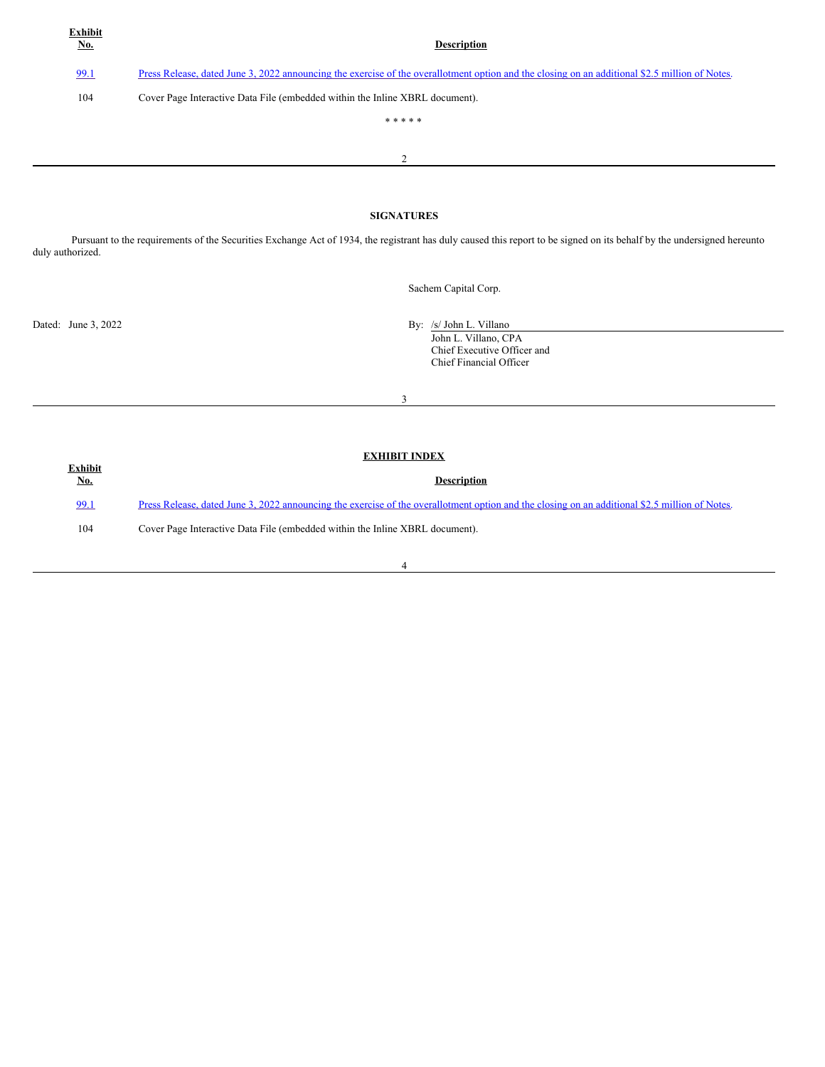| Exhibit<br><u>No.</u> | <b>Description</b>                                                                                                                             |  |
|-----------------------|------------------------------------------------------------------------------------------------------------------------------------------------|--|
| 99.1                  | Press Release, dated June 3, 2022 announcing the exercise of the overallotment option and the closing on an additional \$2.5 million of Notes. |  |
| 104                   | Cover Page Interactive Data File (embedded within the Inline XBRL document).                                                                   |  |
|                       | * * * * *                                                                                                                                      |  |
|                       | 2                                                                                                                                              |  |
|                       |                                                                                                                                                |  |
| <b>SIGNATURES</b>     |                                                                                                                                                |  |

Pursuant to the requirements of the Securities Exchange Act of 1934, the registrant has duly caused this report to be signed on its behalf by the undersigned hereunto duly authorized.

Sachem Capital Corp.

Dated: June 3, 2022 By: /s/ John L. Villano

John L. Villano, CPA Chief Executive Officer and Chief Financial Officer

3

| <b>Exhibit</b> | <b>EXHIBIT INDEX</b>                                                                                                                           |
|----------------|------------------------------------------------------------------------------------------------------------------------------------------------|
| <b>No.</b>     | <b>Description</b>                                                                                                                             |
| 99.1           | Press Release, dated June 3, 2022 announcing the exercise of the overallotment option and the closing on an additional \$2.5 million of Notes. |
| 104            | Cover Page Interactive Data File (embedded within the Inline XBRL document).                                                                   |
|                |                                                                                                                                                |

#### 4